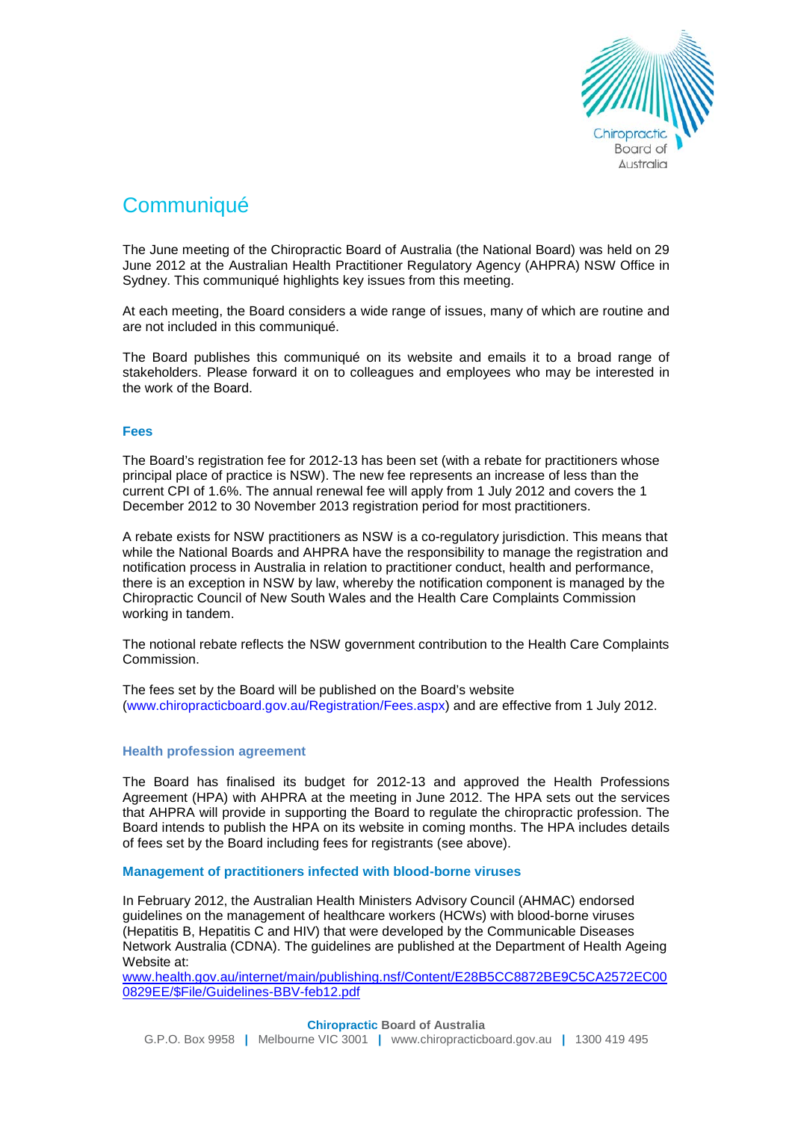

# **Communiqué**

The June meeting of the Chiropractic Board of Australia (the National Board) was held on 29 June 2012 at the Australian Health Practitioner Regulatory Agency (AHPRA) NSW Office in Sydney. This communiqué highlights key issues from this meeting.

At each meeting, the Board considers a wide range of issues, many of which are routine and are not included in this communiqué.

The Board publishes this communiqué on its website and emails it to a broad range of stakeholders. Please forward it on to colleagues and employees who may be interested in the work of the Board.

## **Fees**

The Board's registration fee for 2012-13 has been set (with a rebate for practitioners whose principal place of practice is NSW). The new fee represents an increase of less than the current CPI of 1.6%. The annual renewal fee will apply from 1 July 2012 and covers the 1 December 2012 to 30 November 2013 registration period for most practitioners.

A rebate exists for NSW practitioners as NSW is a co-regulatory jurisdiction. This means that while the National Boards and AHPRA have the responsibility to manage the registration and notification process in Australia in relation to practitioner conduct, health and performance, there is an exception in NSW by law, whereby the notification component is managed by the Chiropractic Council of New South Wales and the Health Care Complaints Commission working in tandem.

The notional rebate reflects the NSW government contribution to the Health Care Complaints Commission.

The fees set by the Board will be published on the Board's website (www.chiropracticboard.gov.au/Registration/Fees.aspx) and are effective from 1 July 2012.

### **Health profession agreement**

The Board has finalised its budget for 2012-13 and approved the Health Professions Agreement (HPA) with AHPRA at the meeting in June 2012. The HPA sets out the services that AHPRA will provide in supporting the Board to regulate the chiropractic profession. The Board intends to publish the HPA on its website in coming months. The HPA includes details of fees set by the Board including fees for registrants (see above).

**Management of practitioners infected with blood-borne viruses**

In February 2012, the Australian Health Ministers Advisory Council (AHMAC) endorsed guidelines on the management of healthcare workers (HCWs) with blood-borne viruses (Hepatitis B, Hepatitis C and HIV) that were developed by the Communicable Diseases Network Australia (CDNA). The guidelines are published at the Department of Health Ageing Website at:

[www.health.gov.au/internet/main/publishing.nsf/Content/E28B5CC8872BE9C5CA2572EC00](http://www.health.gov.au/internet/main/publishing.nsf/Content/E28B5CC8872BE9C5CA2572EC000829EE/$File/Guidelines-BBV-feb12.pdf) [0829EE/\\$File/Guidelines-BBV-feb12.pdf](http://www.health.gov.au/internet/main/publishing.nsf/Content/E28B5CC8872BE9C5CA2572EC000829EE/$File/Guidelines-BBV-feb12.pdf)